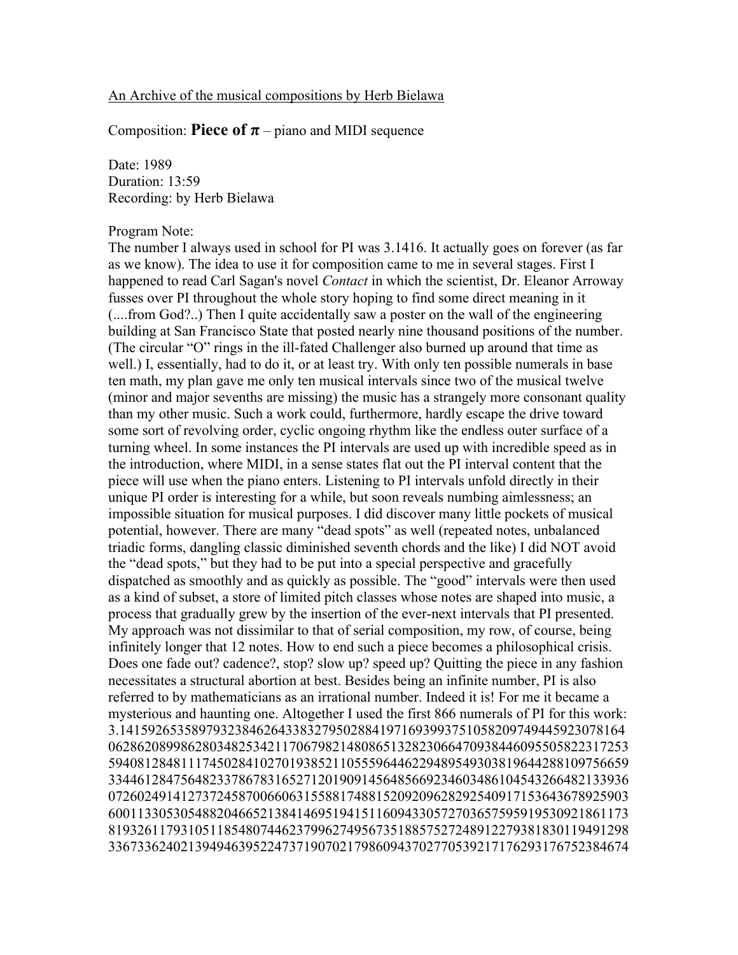## An Archive of the musical compositions by Herb Bielawa

Composition: **Piece of**  $\pi$  – piano and MIDI sequence

Date: 1989 Duration: 13:59 Recording: by Herb Bielawa

## Program Note:

The number I always used in school for PI was 3.1416. It actually goes on forever (as far as we know). The idea to use it for composition came to me in several stages. First I happened to read Carl Sagan's novel *Contact* in which the scientist, Dr. Eleanor Arroway fusses over PI throughout the whole story hoping to find some direct meaning in it (....from God?..) Then I quite accidentally saw a poster on the wall of the engineering building at San Francisco State that posted nearly nine thousand positions of the number. (The circular "O" rings in the ill-fated Challenger also burned up around that time as well.) I, essentially, had to do it, or at least try. With only ten possible numerals in base ten math, my plan gave me only ten musical intervals since two of the musical twelve (minor and major sevenths are missing) the music has a strangely more consonant quality than my other music. Such a work could, furthermore, hardly escape the drive toward some sort of revolving order, cyclic ongoing rhythm like the endless outer surface of a turning wheel. In some instances the PI intervals are used up with incredible speed as in the introduction, where MIDI, in a sense states flat out the PI interval content that the piece will use when the piano enters. Listening to PI intervals unfold directly in their unique PI order is interesting for a while, but soon reveals numbing aimlessness; an impossible situation for musical purposes. I did discover many little pockets of musical potential, however. There are many "dead spots" as well (repeated notes, unbalanced triadic forms, dangling classic diminished seventh chords and the like) I did NOT avoid the "dead spots," but they had to be put into a special perspective and gracefully dispatched as smoothly and as quickly as possible. The "good" intervals were then used as a kind of subset, a store of limited pitch classes whose notes are shaped into music, a process that gradually grew by the insertion of the ever-next intervals that PI presented. My approach was not dissimilar to that of serial composition, my row, of course, being infinitely longer that 12 notes. How to end such a piece becomes a philosophical crisis. Does one fade out? cadence?, stop? slow up? speed up? Quitting the piece in any fashion necessitates a structural abortion at best. Besides being an infinite number, PI is also referred to by mathematicians as an irrational number. Indeed it is! For me it became a mysterious and haunting one. Altogether I used the first 866 numerals of PI for this work: 3.1415926535897932384626433832795028841971693993751058209749445923078164 062862089986280348253421170679821480865132823066470938446095505822317253 594081284811174502841027019385211055596446229489549303819644288109756659 334461284756482337867831652712019091456485669234603486104543266482133936 072602491412737245870066063155881748815209209628292540917153643678925903 600113305305488204665213841469519415116094330572703657595919530921861173 819326117931051185480744623799627495673518857527248912279381830119491298 336733624021394946395224737190702179860943702770539217176293176752384674